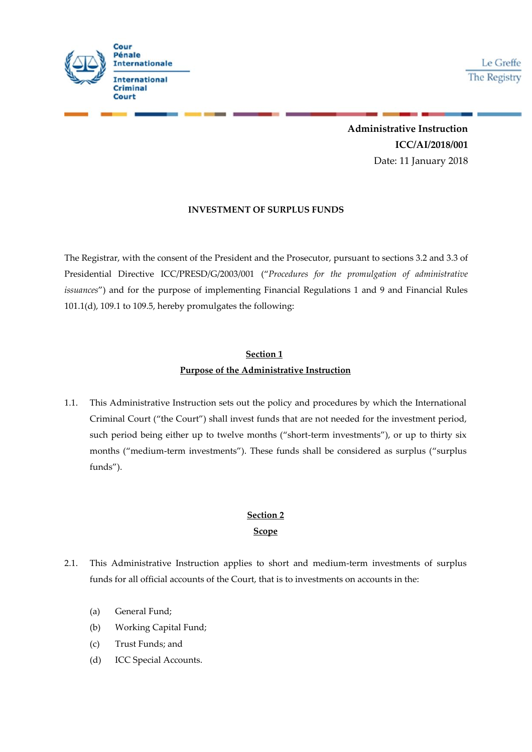

Le Greffe The Registry

**Administrative Instruction ICC/AI/2018/001** Date: 11 January 2018

### **INVESTMENT OF SURPLUS FUNDS**

The Registrar, with the consent of the President and the Prosecutor, pursuant to sections 3.2 and 3.3 of Presidential Directive ICC/PRESD/G/2003/001 ("*Procedures for the promulgation of administrative issuances*") and for the purpose of implementing Financial Regulations 1 and 9 and Financial Rules 101.1(d), 109.1 to 109.5, hereby promulgates the following:

## **Section 1 Purpose of the Administrative Instruction**

1.1. This Administrative Instruction sets out the policy and procedures by which the International Criminal Court ("the Court") shall invest funds that are not needed forthe investment period, such period being either up to twelve months ("short-term investments"), or up to thirty six months ("medium-term investments"). These funds shall be considered as surplus ("surplus funds").

# **Section 2 Scope**

- 2.1. This Administrative Instruction applies to short and medium-term investments of surplus funds for all official accounts of the Court, that is to investments on accounts in the:
	- (a) General Fund;
	- (b) Working Capital Fund;
	- (c) Trust Funds; and
	- (d) ICC Special Accounts.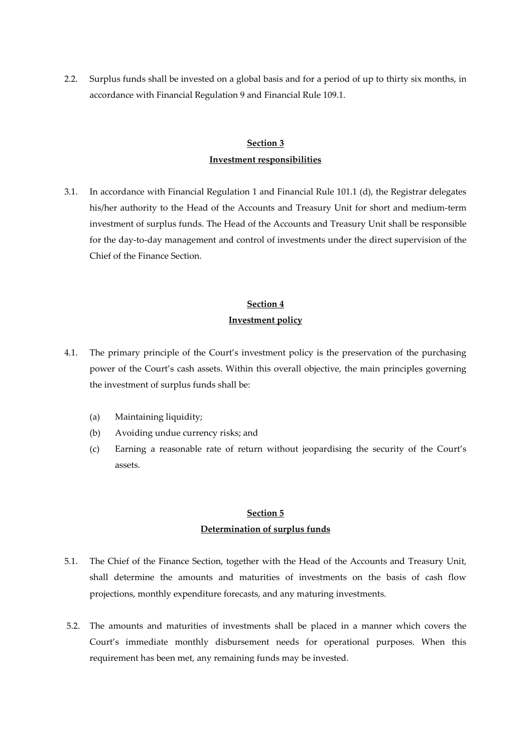2.2. Surplus funds shall be invested on a global basis and for a period of up to thirty six months, in accordance with Financial Regulation 9 and Financial Rule 109.1.

## **Section 3 Investment responsibilities**

3.1. In accordance with Financial Regulation 1 and Financial Rule 101.1 (d), the Registrar delegates his/her authority to the Head of the Accounts and Treasury Unit for short and medium-term investment of surplus funds. The Head of the Accounts and Treasury Unit shall be responsible for the day-to-day management and control of investments under the direct supervision of the Chief of the Finance Section.

### **Section 4**

#### **Investment policy**

- 4.1. The primary principle of the Court's investment policy is the preservation of the purchasing power of the Court's cash assets. Within this overall objective, the main principles governing the investment of surplus funds shall be:
	- (a) Maintaining liquidity;
	- (b) Avoiding undue currency risks; and
	- (c) Earning a reasonable rate of return without jeopardising the security of the Court's assets.

## **Section 5 Determination of surplus funds**

- 5.1. The Chief of the Finance Section, together with the Head of the Accounts and Treasury Unit, shall determine the amounts and maturities of investments on the basis of cash flow projections, monthly expenditure forecasts, and any maturing investments.
- 5.2. The amounts and maturities of investments shall be placed in a manner which covers the Court's immediate monthly disbursement needs for operational purposes. When this requirement has been met, any remaining funds may be invested.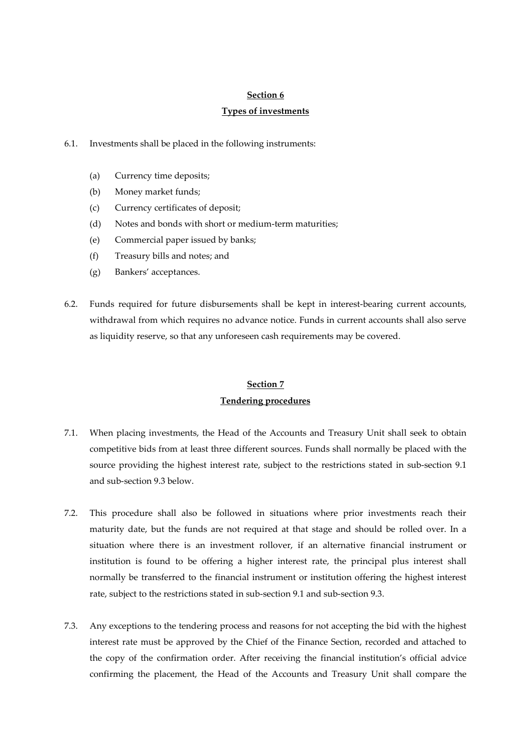#### **Section 6**

### **Types of investments**

- 6.1. Investments shall be placed in the following instruments:
	- (a) Currency time deposits;
	- (b) Money market funds;
	- (c) Currency certificates of deposit;
	- (d) Notes and bonds with short or medium-term maturities;
	- (e) Commercial paper issued by banks;
	- (f) Treasury bills and notes; and
	- (g) Bankers' acceptances.
- 6.2. Funds required for future disbursements shall be kept in interest-bearing current accounts, withdrawal from which requires no advance notice. Funds in current accounts shall also serve as liquidity reserve, so that any unforeseen cash requirements may be covered.

## **Section 7 Tendering procedures**

- 7.1. When placing investments, the Head of the Accounts and Treasury Unit shall seek to obtain competitive bids from at least three different sources. Funds shall normally be placed with the source providing the highest interest rate, subject to the restrictions stated in sub-section 9.1 and sub-section 9.3 below.
- 7.2. This procedure shall also be followed in situations where prior investments reach their maturity date, but the funds are not required at that stage and should be rolled over. In a situation where there is an investment rollover, if an alternative financial instrument or institution is found to be offering a higher interest rate, the principal plus interest shall normally be transferred to the financial instrument or institution offering the highest interest rate, subject to the restrictions stated in sub-section 9.1 and sub-section 9.3.
- 7.3. Any exceptions to the tendering process and reasons for not accepting the bid with the highest interest rate must be approved by the Chief of the Finance Section, recorded and attached to the copy of the confirmation order. After receiving the financial institution's official advice confirming the placement, the Head of the Accounts and Treasury Unit shall compare the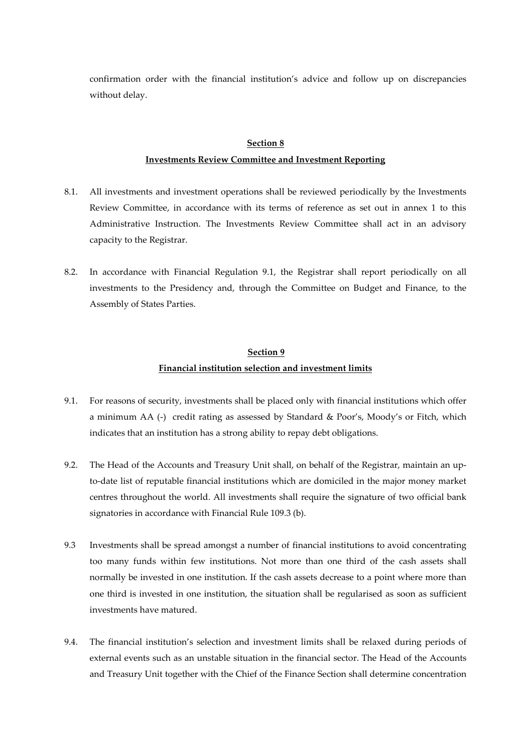confirmation order with the financial institution's advice and follow up on discrepancies without delay.

### **Section 8**

### **Investments Review Committee and Investment Reporting**

- 8.1. All investments and investment operations shall be reviewed periodically by the Investments Review Committee, in accordance with its terms of reference as set out in annex 1 to this Administrative Instruction. The Investments Review Committee shall act in an advisory capacity to the Registrar.
- 8.2. In accordance with Financial Regulation 9.1, the Registrar shall report periodically on all investments to the Presidency and, through the Committee on Budget and Finance, to the Assembly of States Parties.

## **Section 9 Financial institution selection and investment limits**

- 9.1. For reasons of security, investments shall be placed only with financial institutions which offer a minimum AA (-) credit rating as assessed by Standard & Poor's, Moody's or Fitch, which indicates that an institution has a strong ability to repay debt obligations.
- 9.2. The Head of the Accounts and Treasury Unit shall, on behalf of the Registrar, maintain an upto-date list of reputable financial institutions which are domiciled in the major money market centres throughout the world. All investments shall require the signature of two official bank signatories in accordance with Financial Rule 109.3 (b).
- 9.3 Investments shall be spread amongst a number of financial institutions to avoid concentrating too many funds within few institutions. Not more than one third of the cash assets shall normally be invested in one institution. If the cash assets decrease to a point where more than one third is invested in one institution, the situation shall be regularised as soon as sufficient investments have matured.
- 9.4. The financial institution's selection and investment limits shall be relaxed during periods of external events such as an unstable situation in the financial sector. The Head of the Accounts and Treasury Unit together with the Chief of the Finance Section shall determine concentration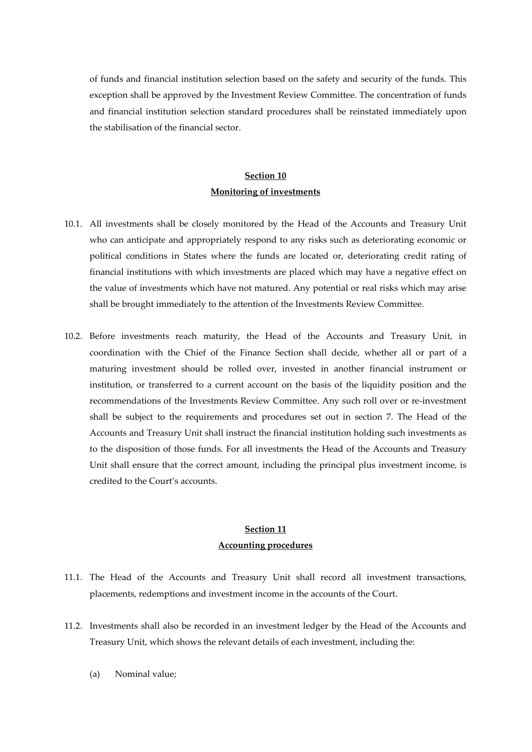of funds and financial institution selection based on the safety and security of the funds. This exception shall be approved by the Investment Review Committee. The concentration of funds and financial institution selection standard procedures shall be reinstated immediately upon the stabilisation of the financial sector.

## **Section 10 Monitoring of investments**

- 10.1. All investments shall be closely monitored by the Head of the Accounts and Treasury Unit who can anticipate and appropriately respond to any risks such as deteriorating economic or political conditions in States where the funds are located or, deteriorating credit rating of financial institutions with which investments are placed which may have a negative effect on the value of investments which have not matured. Any potential or real risks which may arise shall be brought immediately to the attention of the Investments Review Committee.
- 10.2. Before investments reach maturity, the Head of the Accounts and Treasury Unit, in coordination with the Chief of the Finance Section shall decide, whether all or part of a maturing investment should be rolled over, invested in another financial instrument or institution, or transferred to a current account on the basis of the liquidity position and the recommendations of the Investments Review Committee. Any such roll over or re-investment shall be subject to the requirements and procedures set out in section 7. The Head of the Accounts and Treasury Unit shall instruct the financial institution holding such investments as to the disposition of those funds. For all investments the Head of the Accounts and Treasury Unit shall ensure that the correct amount, including the principal plus investment income, is credited to the Court's accounts.

### **Section 11 Accounting procedures**

- 11.1. The Head of the Accounts and Treasury Unit shall record all investment transactions, placements, redemptions and investment income in the accounts of the Court.
- 11.2. Investments shall also be recorded in an investment ledger by the Head of the Accounts and Treasury Unit, which shows the relevant details of each investment, including the:
	- (a) Nominal value;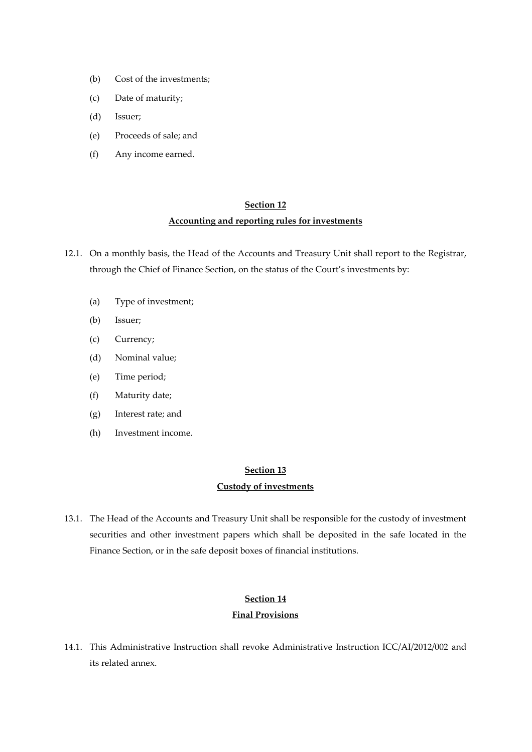- (b) Cost of the investments;
- (c) Date of maturity;
- (d) Issuer;
- (e) Proceeds of sale; and
- (f) Any income earned.

### **Section 12**

#### **Accounting and reporting rules for investments**

- 12.1. On a monthly basis, the Head of the Accounts and Treasury Unit shall report to the Registrar, through the Chief of Finance Section, on the status of the Court's investments by:
	- (a) Type of investment;
	- (b) Issuer;
	- (c) Currency;
	- (d) Nominal value;
	- (e) Time period;
	- (f) Maturity date;
	- (g) Interest rate; and
	- (h) Investment income.

## **Section 13 Custody of investments**

13.1. The Head of the Accounts and Treasury Unit shall be responsible for the custody of investment securities and other investment papers which shall be deposited in the safe located in the Finance Section, or in the safe deposit boxes of financial institutions.

### **Section 14 Final Provisions**

14.1. This Administrative Instruction shall revoke Administrative Instruction ICC/AI/2012/002 and its related annex.